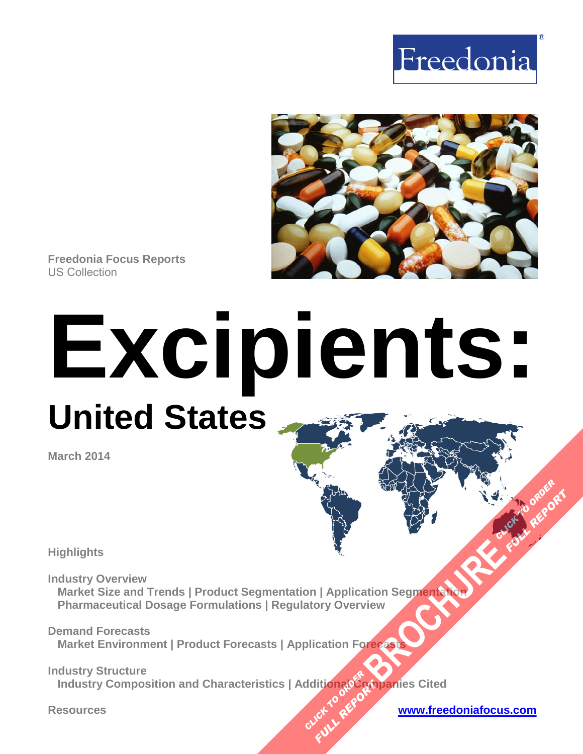



**Freedonia Focus Reports** US Collection

# **Excipients: United States**

**March 2014**

**Highlights**

**Industry Overview Market Size and Trends | Product Segmentation | Application Segmentation Pharmaceutical Dosage Formulations | Regulatory Overview [BROCHURE](http://www.freedoniagroup.com/FocusDetails.aspx?ReferrerId=FM-FocusBro&ReportID=FF40048) AND CLICK TO ORDER**<br>Action Segment and J. C. Principle Report

**Demand Forecasts Market Environment | Product Forecasts | Application Forecast** 

**Industry Structure Industry Composition and Characteristics | AdditionalCompanies Cited CLICK TO REPORT FULL REPORT** 

**Resources [www.freedoniafocus.com](http://www.freedoniagroup.com/FocusReports.aspx?ReferrerId=FM-FocusBro)**

**FULL REPORT**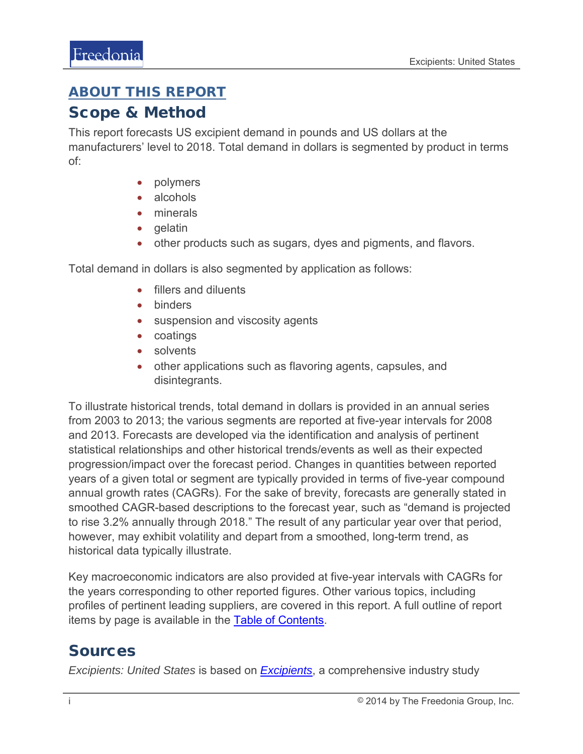### <span id="page-1-0"></span>ABOUT THIS REPORT

#### Scope & Method

This report forecasts US excipient demand in pounds and US dollars at the manufacturers' level to 2018. Total demand in dollars is segmented by product in terms of:

- polymers
- alcohols
- minerals
- gelatin
- other products such as sugars, dyes and pigments, and flavors.

Total demand in dollars is also segmented by application as follows:

- fillers and diluents
- binders
- suspension and viscosity agents
- coatings
- solvents
- other applications such as flavoring agents, capsules, and disintegrants.

To illustrate historical trends, total demand in dollars is provided in an annual series from 2003 to 2013; the various segments are reported at five-year intervals for 2008 and 2013. Forecasts are developed via the identification and analysis of pertinent statistical relationships and other historical trends/events as well as their expected progression/impact over the forecast period. Changes in quantities between reported years of a given total or segment are typically provided in terms of five-year compound annual growth rates (CAGRs). For the sake of brevity, forecasts are generally stated in smoothed CAGR-based descriptions to the forecast year, such as "demand is projected to rise 3.2% annually through 2018." The result of any particular year over that period, however, may exhibit volatility and depart from a smoothed, long-term trend, as historical data typically illustrate.

Key macroeconomic indicators are also provided at five-year intervals with CAGRs for the years corresponding to other reported figures. Other various topics, including profiles of pertinent leading suppliers, are covered in this report. A full outline of report items by page is available in the **Table of Contents**.

### Sources

*Excipients: United States* is based on *[Excipients](http://www.freedoniagroup.com/DocumentDetails.aspx?ReferrerId=FL-FOCUS&studyid=3146)*, a comprehensive industry study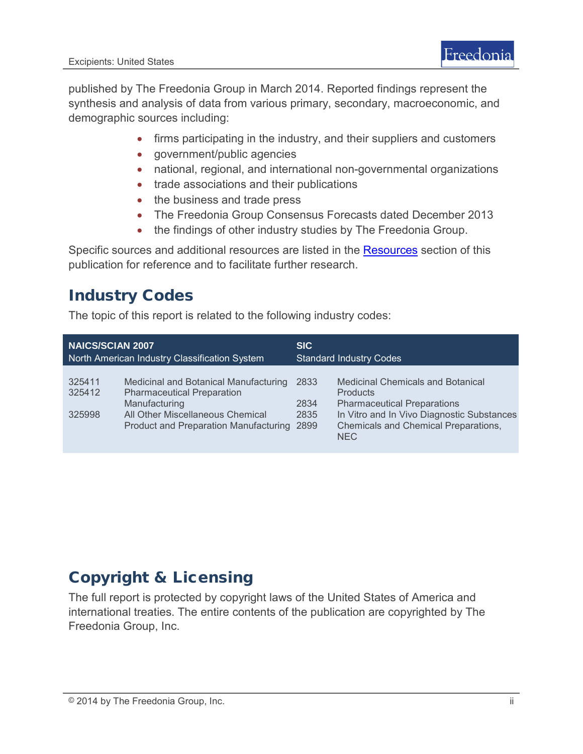published by The Freedonia Group in March 2014. Reported findings represent the synthesis and analysis of data from various primary, secondary, macroeconomic, and demographic sources including:

- firms participating in the industry, and their suppliers and customers
- government/public agencies
- national, regional, and international non-governmental organizations
- trade associations and their publications
- the business and trade press
- The Freedonia Group Consensus Forecasts dated December 2013
- the findings of other industry studies by The Freedonia Group.

Specific sources and additional resources are listed in the **Resources** section of this publication for reference and to facilitate further research.

## Industry Codes

The topic of this report is related to the following industry codes:

| <b>NAICS/SCIAN 2007</b>                       |                                                                                                                                                                                 | <b>SIC</b>                     |                                                                                                                                                                                                       |
|-----------------------------------------------|---------------------------------------------------------------------------------------------------------------------------------------------------------------------------------|--------------------------------|-------------------------------------------------------------------------------------------------------------------------------------------------------------------------------------------------------|
| North American Industry Classification System |                                                                                                                                                                                 | <b>Standard Industry Codes</b> |                                                                                                                                                                                                       |
| 325411<br>325412<br>325998                    | Medicinal and Botanical Manufacturing<br><b>Pharmaceutical Preparation</b><br>Manufacturing<br>All Other Miscellaneous Chemical<br><b>Product and Preparation Manufacturing</b> | 2833<br>2834<br>2835<br>2899   | <b>Medicinal Chemicals and Botanical</b><br><b>Products</b><br><b>Pharmaceutical Preparations</b><br>In Vitro and In Vivo Diagnostic Substances<br>Chemicals and Chemical Preparations,<br><b>NEC</b> |

# Copyright & Licensing

The full report is protected by copyright laws of the United States of America and international treaties. The entire contents of the publication are copyrighted by The Freedonia Group, Inc.